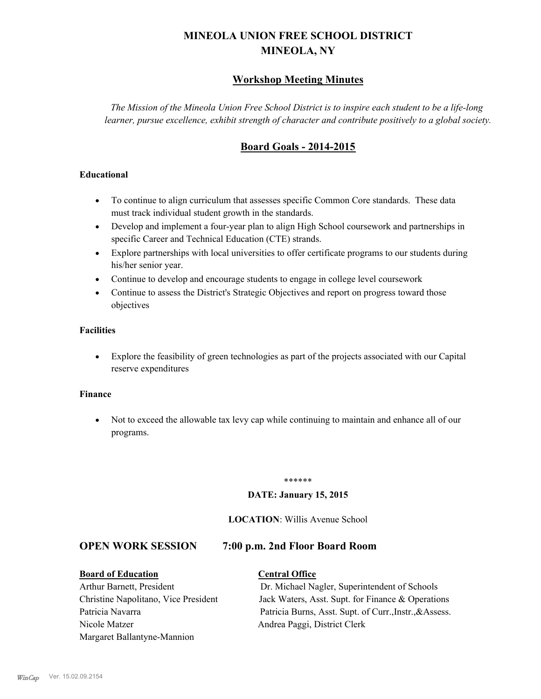## **MINEOLA UNION FREE SCHOOL DISTRICT MINEOLA, NY**

### **Workshop Meeting Minutes**

*The Mission of the Mineola Union Free School District is to inspire each student to be a life-long learner, pursue excellence, exhibit strength of character and contribute positively to a global society.*

### **Board Goals - 2014-2015**

#### **Educational**

- · To continue to align curriculum that assesses specific Common Core standards. These data must track individual student growth in the standards.
- · Develop and implement a four-year plan to align High School coursework and partnerships in specific Career and Technical Education (CTE) strands.
- · Explore partnerships with local universities to offer certificate programs to our students during his/her senior year.
- · Continue to develop and encourage students to engage in college level coursework
- Continue to assess the District's Strategic Objectives and report on progress toward those objectives

#### **Facilities**

· Explore the feasibility of green technologies as part of the projects associated with our Capital reserve expenditures

#### **Finance**

· Not to exceed the allowable tax levy cap while continuing to maintain and enhance all of our programs.

#### \*\*\*\*\*\*

#### **DATE: January 15, 2015**

#### **LOCATION**: Willis Avenue School

#### **OPEN WORK SESSION 7:00 p.m. 2nd Floor Board Room**

#### **Board of Education Central Office**

# Nicole Matzer Andrea Paggi, District Clerk Margaret Ballantyne-Mannion

Arthur Barnett, President Dr. Michael Nagler, Superintendent of Schools Christine Napolitano, Vice President Jack Waters, Asst. Supt. for Finance & Operations Patricia Navarra Patricia Burns, Asst. Supt. of Curr., Instr., & Assess.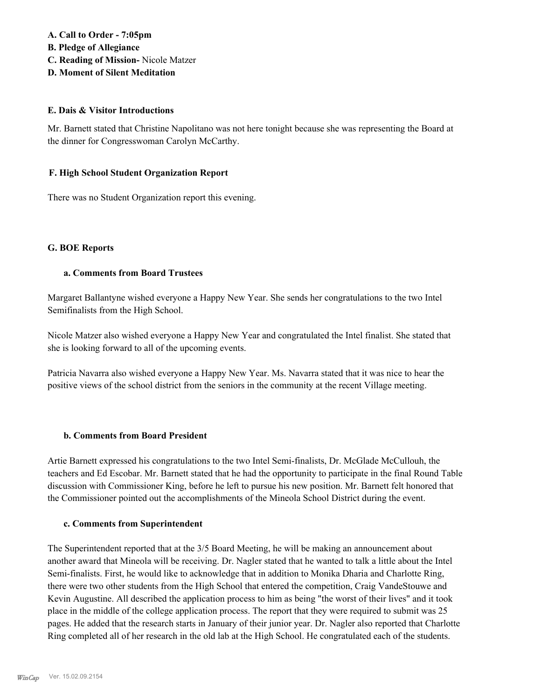#### **A. Call to Order - 7:05pm B. Pledge of Allegiance C. Reading of Mission-** Nicole Matzer

**D. Moment of Silent Meditation**

#### **E. Dais & Visitor Introductions**

Mr. Barnett stated that Christine Napolitano was not here tonight because she was representing the Board at the dinner for Congresswoman Carolyn McCarthy.

#### **F. High School Student Organization Report**

There was no Student Organization report this evening.

#### **G. BOE Reports**

#### **a. Comments from Board Trustees**

Margaret Ballantyne wished everyone a Happy New Year. She sends her congratulations to the two Intel Semifinalists from the High School.

Nicole Matzer also wished everyone a Happy New Year and congratulated the Intel finalist. She stated that she is looking forward to all of the upcoming events.

Patricia Navarra also wished everyone a Happy New Year. Ms. Navarra stated that it was nice to hear the positive views of the school district from the seniors in the community at the recent Village meeting.

#### **b. Comments from Board President**

Artie Barnett expressed his congratulations to the two Intel Semi-finalists, Dr. McGlade McCullouh, the teachers and Ed Escobar. Mr. Barnett stated that he had the opportunity to participate in the final Round Table discussion with Commissioner King, before he left to pursue his new position. Mr. Barnett felt honored that the Commissioner pointed out the accomplishments of the Mineola School District during the event.

#### **c. Comments from Superintendent**

The Superintendent reported that at the 3/5 Board Meeting, he will be making an announcement about another award that Mineola will be receiving. Dr. Nagler stated that he wanted to talk a little about the Intel Semi-finalists. First, he would like to acknowledge that in addition to Monika Dharia and Charlotte Ring, there were two other students from the High School that entered the competition, Craig VandeStouwe and Kevin Augustine. All described the application process to him as being "the worst of their lives" and it took place in the middle of the college application process. The report that they were required to submit was 25 pages. He added that the research starts in January of their junior year. Dr. Nagler also reported that Charlotte Ring completed all of her research in the old lab at the High School. He congratulated each of the students.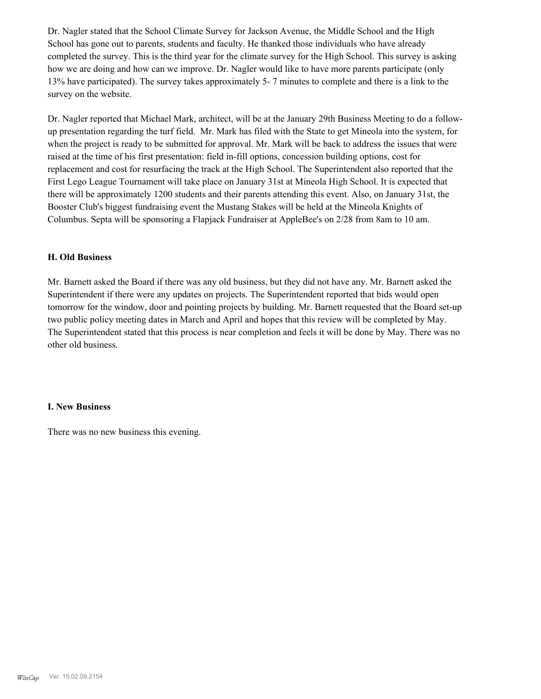Dr. Nagler stated that the School Climate Survey for Jackson Avenue, the Middle School and the High School has gone out to parents, students and faculty. He thanked those individuals who have already completed the survey. This is the third year for the climate survey for the High School. This survey is asking how we are doing and how can we improve. Dr. Nagler would like to have more parents participate (only 13% have participated). The survey takes approximately 5- 7 minutes to complete and there is a link to the survey on the website.

Dr. Nagler reported that Michael Mark, architect, will be at the January 29th Business Meeting to do a followup presentation regarding the turf field. Mr. Mark has filed with the State to get Mineola into the system, for when the project is ready to be submitted for approval. Mr. Mark will be back to address the issues that were raised at the time of his first presentation: field in-fill options, concession building options, cost for replacement and cost for resurfacing the track at the High School. The Superintendent also reported that the First Lego League Tournament will take place on January 31st at Mineola High School. It is expected that there will be approximately 1200 students and their parents attending this event. Also, on January 31st, the Booster Club's biggest fundraising event the Mustang Stakes will be held at the Mineola Knights of Columbus. Septa will be sponsoring a Flapjack Fundraiser at AppleBee's on 2/28 from 8am to 10 am.

#### **H. Old Business**

Mr. Barnett asked the Board if there was any old business, but they did not have any. Mr. Barnett asked the Superintendent if there were any updates on projects. The Superintendent reported that bids would open tomorrow for the window, door and pointing projects by building. Mr. Barnett requested that the Board set-up two public policy meeting dates in March and April and hopes that this review will be completed by May. The Superintendent stated that this process is near completion and feels it will be done by May. There was no other old business.

#### **I. New Business**

There was no new business this evening.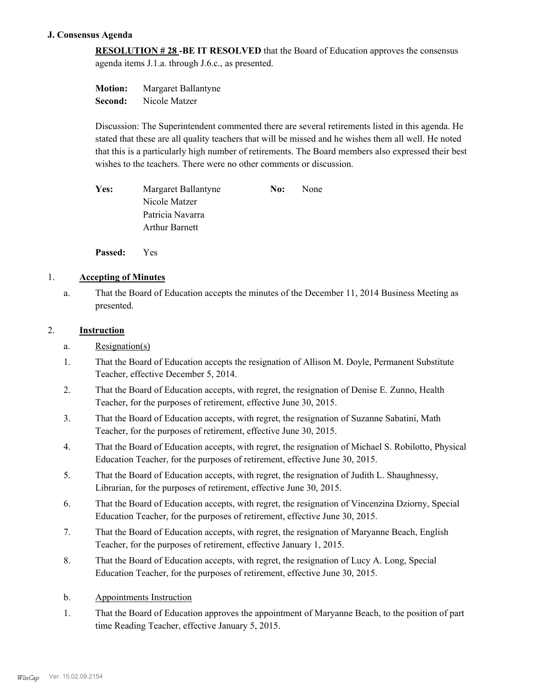#### **J. Consensus Agenda**

**RESOLUTION # 28 -BE IT RESOLVED** that the Board of Education approves the consensus agenda items J.1.a. through J.6.c., as presented.

**Motion:** Margaret Ballantyne **Second:** Nicole Matzer

Discussion: The Superintendent commented there are several retirements listed in this agenda. He stated that these are all quality teachers that will be missed and he wishes them all well. He noted that this is a particularly high number of retirements. The Board members also expressed their best wishes to the teachers. There were no other comments or discussion.

Yes: Margaret Ballantyne **No:** None Nicole Matzer Patricia Navarra Arthur Barnett

**Passed:** Yes

#### 1. **Accepting of Minutes**

That the Board of Education accepts the minutes of the December 11, 2014 Business Meeting as presented. a.

#### 2. **Instruction**

- a. Resignation(s)
- That the Board of Education accepts the resignation of Allison M. Doyle, Permanent Substitute Teacher, effective December 5, 2014. 1.
- That the Board of Education accepts, with regret, the resignation of Denise E. Zunno, Health Teacher, for the purposes of retirement, effective June 30, 2015. 2.
- That the Board of Education accepts, with regret, the resignation of Suzanne Sabatini, Math Teacher, for the purposes of retirement, effective June 30, 2015. 3.
- That the Board of Education accepts, with regret, the resignation of Michael S. Robilotto, Physical Education Teacher, for the purposes of retirement, effective June 30, 2015. 4.
- That the Board of Education accepts, with regret, the resignation of Judith L. Shaughnessy, Librarian, for the purposes of retirement, effective June 30, 2015. 5.
- That the Board of Education accepts, with regret, the resignation of Vincenzina Dziorny, Special Education Teacher, for the purposes of retirement, effective June 30, 2015. 6.
- That the Board of Education accepts, with regret, the resignation of Maryanne Beach, English Teacher, for the purposes of retirement, effective January 1, 2015. 7.
- That the Board of Education accepts, with regret, the resignation of Lucy A. Long, Special Education Teacher, for the purposes of retirement, effective June 30, 2015. 8.
- b. Appointments Instruction
- That the Board of Education approves the appointment of Maryanne Beach, to the position of part time Reading Teacher, effective January 5, 2015. 1.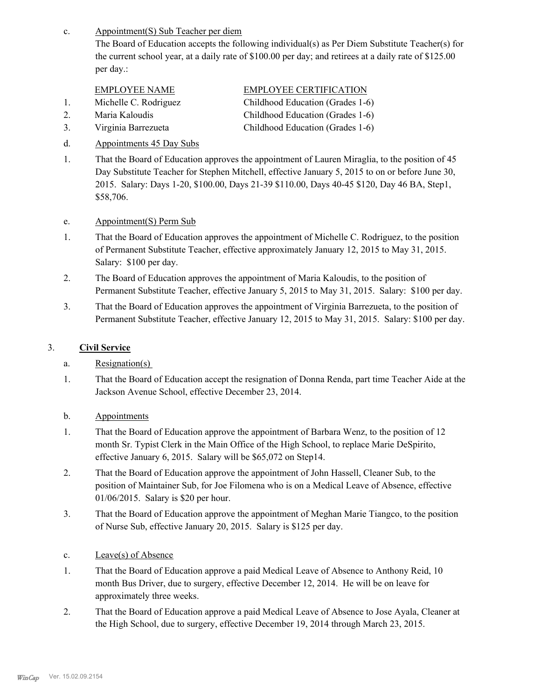Appointment(S) Sub Teacher per diem c.

The Board of Education accepts the following individual(s) as Per Diem Substitute Teacher(s) for the current school year, at a daily rate of \$100.00 per day; and retirees at a daily rate of \$125.00 per day.:

| <b>EMPLOYEE NAME</b>  | <b>EMPLOYEE CERTIFICATION</b>    |
|-----------------------|----------------------------------|
| Michelle C. Rodriguez | Childhood Education (Grades 1-6) |
| Maria Kaloudis        | Childhood Education (Grades 1-6) |

- 3. Virginia Barrezueta Childhood Education (Grades 1-6)
- d. Appointments 45 Day Subs
- That the Board of Education approves the appointment of Lauren Miraglia, to the position of 45 Day Substitute Teacher for Stephen Mitchell, effective January 5, 2015 to on or before June 30, 2015. Salary: Days 1-20, \$100.00, Days 21-39 \$110.00, Days 40-45 \$120, Day 46 BA, Step1, \$58,706. 1.
- e. Appointment(S) Perm Sub
- That the Board of Education approves the appointment of Michelle C. Rodriguez, to the position of Permanent Substitute Teacher, effective approximately January 12, 2015 to May 31, 2015. Salary: \$100 per day. 1.
- The Board of Education approves the appointment of Maria Kaloudis, to the position of Permanent Substitute Teacher, effective January 5, 2015 to May 31, 2015. Salary: \$100 per day. 2.
- That the Board of Education approves the appointment of Virginia Barrezueta, to the position of Permanent Substitute Teacher, effective January 12, 2015 to May 31, 2015. Salary: \$100 per day. 3.

#### 3. **Civil Service**

- a. Resignation(s)
- That the Board of Education accept the resignation of Donna Renda, part time Teacher Aide at the Jackson Avenue School, effective December 23, 2014. 1.
- b. Appointments
- That the Board of Education approve the appointment of Barbara Wenz, to the position of 12 month Sr. Typist Clerk in the Main Office of the High School, to replace Marie DeSpirito, effective January 6, 2015. Salary will be \$65,072 on Step14. 1.
- That the Board of Education approve the appointment of John Hassell, Cleaner Sub, to the position of Maintainer Sub, for Joe Filomena who is on a Medical Leave of Absence, effective 01/06/2015. Salary is \$20 per hour. 2.
- That the Board of Education approve the appointment of Meghan Marie Tiangco, to the position of Nurse Sub, effective January 20, 2015. Salary is \$125 per day. 3.
- c. Leave(s) of Absence
- That the Board of Education approve a paid Medical Leave of Absence to Anthony Reid, 10 month Bus Driver, due to surgery, effective December 12, 2014. He will be on leave for approximately three weeks. 1.
- That the Board of Education approve a paid Medical Leave of Absence to Jose Ayala, Cleaner at the High School, due to surgery, effective December 19, 2014 through March 23, 2015. 2.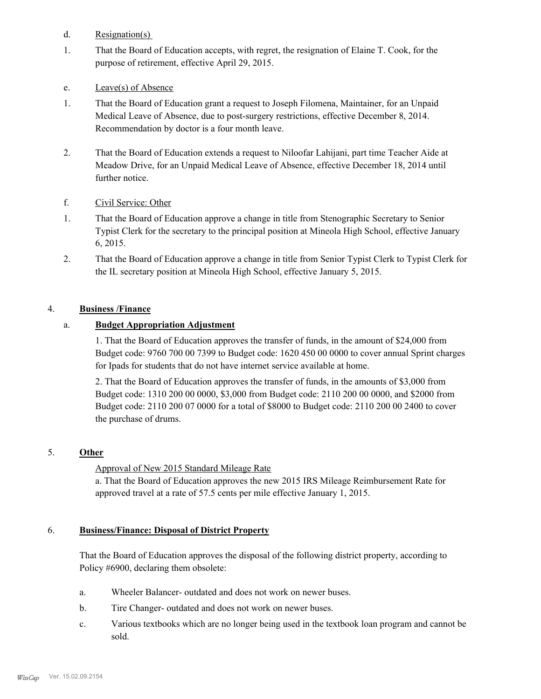- d. Resignation(s)
- That the Board of Education accepts, with regret, the resignation of Elaine T. Cook, for the purpose of retirement, effective April 29, 2015. 1.
- e. Leave(s) of Absence
- That the Board of Education grant a request to Joseph Filomena, Maintainer, for an Unpaid Medical Leave of Absence, due to post-surgery restrictions, effective December 8, 2014. Recommendation by doctor is a four month leave. 1.
- That the Board of Education extends a request to Niloofar Lahijani, part time Teacher Aide at Meadow Drive, for an Unpaid Medical Leave of Absence, effective December 18, 2014 until further notice. 2.
- f. Civil Service: Other
- That the Board of Education approve a change in title from Stenographic Secretary to Senior Typist Clerk for the secretary to the principal position at Mineola High School, effective January 6, 2015. 1.
- That the Board of Education approve a change in title from Senior Typist Clerk to Typist Clerk for the IL secretary position at Mineola High School, effective January 5, 2015. 2.

#### 4. **Business /Finance**

#### a. **Budget Appropriation Adjustment**

1. That the Board of Education approves the transfer of funds, in the amount of \$24,000 from Budget code: 9760 700 00 7399 to Budget code: 1620 450 00 0000 to cover annual Sprint charges for Ipads for students that do not have internet service available at home.

2. That the Board of Education approves the transfer of funds, in the amounts of \$3,000 from Budget code: 1310 200 00 0000, \$3,000 from Budget code: 2110 200 00 0000, and \$2000 from Budget code: 2110 200 07 0000 for a total of \$8000 to Budget code: 2110 200 00 2400 to cover the purchase of drums.

#### 5. **Other**

Approval of New 2015 Standard Mileage Rate

a. That the Board of Education approves the new 2015 IRS Mileage Reimbursement Rate for approved travel at a rate of 57.5 cents per mile effective January 1, 2015.

#### **Business/Finance: Disposal of District Property** 6.

That the Board of Education approves the disposal of the following district property, according to Policy #6900, declaring them obsolete:

- a. Wheeler Balancer- outdated and does not work on newer buses.
- b. Tire Changer- outdated and does not work on newer buses.
- Various textbooks which are no longer being used in the textbook loan program and cannot be sold. c.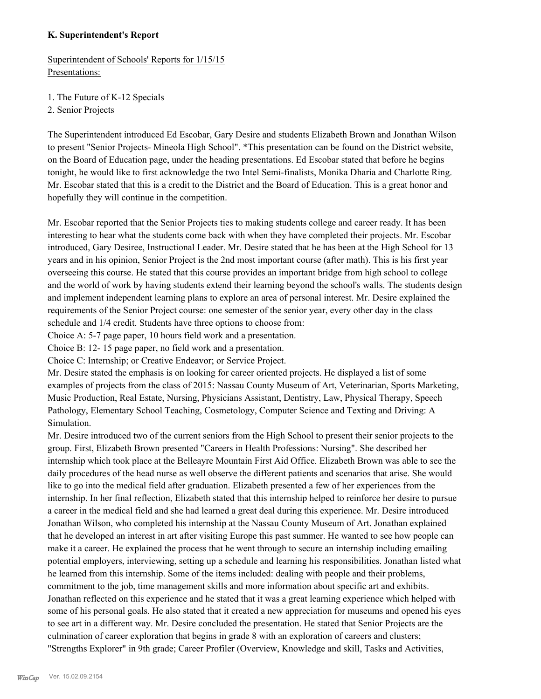#### **K. Superintendent's Report**

Superintendent of Schools' Reports for 1/15/15 Presentations:

1. The Future of K-12 Specials

2. Senior Projects

The Superintendent introduced Ed Escobar, Gary Desire and students Elizabeth Brown and Jonathan Wilson to present "Senior Projects- Mineola High School". \*This presentation can be found on the District website, on the Board of Education page, under the heading presentations. Ed Escobar stated that before he begins tonight, he would like to first acknowledge the two Intel Semi-finalists, Monika Dharia and Charlotte Ring. Mr. Escobar stated that this is a credit to the District and the Board of Education. This is a great honor and hopefully they will continue in the competition.

Mr. Escobar reported that the Senior Projects ties to making students college and career ready. It has been interesting to hear what the students come back with when they have completed their projects. Mr. Escobar introduced, Gary Desiree, Instructional Leader. Mr. Desire stated that he has been at the High School for 13 years and in his opinion, Senior Project is the 2nd most important course (after math). This is his first year overseeing this course. He stated that this course provides an important bridge from high school to college and the world of work by having students extend their learning beyond the school's walls. The students design and implement independent learning plans to explore an area of personal interest. Mr. Desire explained the requirements of the Senior Project course: one semester of the senior year, every other day in the class schedule and 1/4 credit. Students have three options to choose from:

Choice A: 5-7 page paper, 10 hours field work and a presentation.

Choice B: 12- 15 page paper, no field work and a presentation.

Choice C: Internship; or Creative Endeavor; or Service Project.

Mr. Desire stated the emphasis is on looking for career oriented projects. He displayed a list of some examples of projects from the class of 2015: Nassau County Museum of Art, Veterinarian, Sports Marketing, Music Production, Real Estate, Nursing, Physicians Assistant, Dentistry, Law, Physical Therapy, Speech Pathology, Elementary School Teaching, Cosmetology, Computer Science and Texting and Driving: A Simulation.

Mr. Desire introduced two of the current seniors from the High School to present their senior projects to the group. First, Elizabeth Brown presented "Careers in Health Professions: Nursing". She described her internship which took place at the Belleayre Mountain First Aid Office. Elizabeth Brown was able to see the daily procedures of the head nurse as well observe the different patients and scenarios that arise. She would like to go into the medical field after graduation. Elizabeth presented a few of her experiences from the internship. In her final reflection, Elizabeth stated that this internship helped to reinforce her desire to pursue a career in the medical field and she had learned a great deal during this experience. Mr. Desire introduced Jonathan Wilson, who completed his internship at the Nassau County Museum of Art. Jonathan explained that he developed an interest in art after visiting Europe this past summer. He wanted to see how people can make it a career. He explained the process that he went through to secure an internship including emailing potential employers, interviewing, setting up a schedule and learning his responsibilities. Jonathan listed what he learned from this internship. Some of the items included: dealing with people and their problems, commitment to the job, time management skills and more information about specific art and exhibits. Jonathan reflected on this experience and he stated that it was a great learning experience which helped with some of his personal goals. He also stated that it created a new appreciation for museums and opened his eyes to see art in a different way. Mr. Desire concluded the presentation. He stated that Senior Projects are the culmination of career exploration that begins in grade 8 with an exploration of careers and clusters; "Strengths Explorer" in 9th grade; Career Profiler (Overview, Knowledge and skill, Tasks and Activities,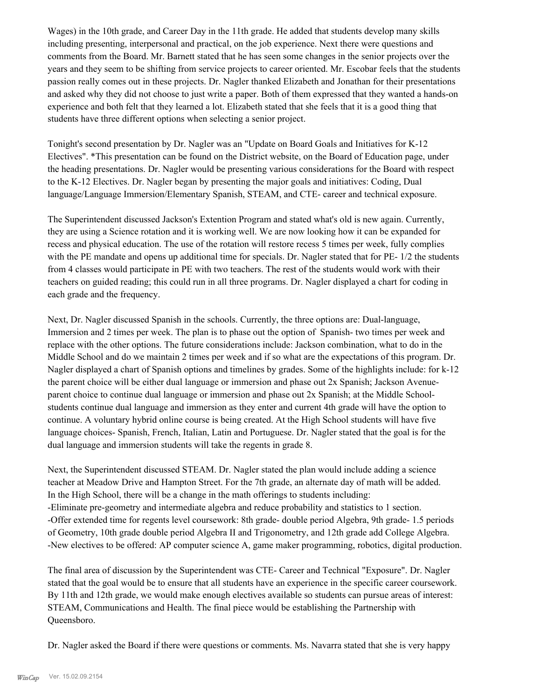Wages) in the 10th grade, and Career Day in the 11th grade. He added that students develop many skills including presenting, interpersonal and practical, on the job experience. Next there were questions and comments from the Board. Mr. Barnett stated that he has seen some changes in the senior projects over the years and they seem to be shifting from service projects to career oriented. Mr. Escobar feels that the students passion really comes out in these projects. Dr. Nagler thanked Elizabeth and Jonathan for their presentations and asked why they did not choose to just write a paper. Both of them expressed that they wanted a hands-on experience and both felt that they learned a lot. Elizabeth stated that she feels that it is a good thing that students have three different options when selecting a senior project.

Tonight's second presentation by Dr. Nagler was an "Update on Board Goals and Initiatives for K-12 Electives". \*This presentation can be found on the District website, on the Board of Education page, under the heading presentations. Dr. Nagler would be presenting various considerations for the Board with respect to the K-12 Electives. Dr. Nagler began by presenting the major goals and initiatives: Coding, Dual language/Language Immersion/Elementary Spanish, STEAM, and CTE- career and technical exposure.

The Superintendent discussed Jackson's Extention Program and stated what's old is new again. Currently, they are using a Science rotation and it is working well. We are now looking how it can be expanded for recess and physical education. The use of the rotation will restore recess 5 times per week, fully complies with the PE mandate and opens up additional time for specials. Dr. Nagler stated that for PE-  $1/2$  the students from 4 classes would participate in PE with two teachers. The rest of the students would work with their teachers on guided reading; this could run in all three programs. Dr. Nagler displayed a chart for coding in each grade and the frequency.

Next, Dr. Nagler discussed Spanish in the schools. Currently, the three options are: Dual-language, Immersion and 2 times per week. The plan is to phase out the option of Spanish- two times per week and replace with the other options. The future considerations include: Jackson combination, what to do in the Middle School and do we maintain 2 times per week and if so what are the expectations of this program. Dr. Nagler displayed a chart of Spanish options and timelines by grades. Some of the highlights include: for k-12 the parent choice will be either dual language or immersion and phase out 2x Spanish; Jackson Avenueparent choice to continue dual language or immersion and phase out 2x Spanish; at the Middle Schoolstudents continue dual language and immersion as they enter and current 4th grade will have the option to continue. A voluntary hybrid online course is being created. At the High School students will have five language choices- Spanish, French, Italian, Latin and Portuguese. Dr. Nagler stated that the goal is for the dual language and immersion students will take the regents in grade 8.

Next, the Superintendent discussed STEAM. Dr. Nagler stated the plan would include adding a science teacher at Meadow Drive and Hampton Street. For the 7th grade, an alternate day of math will be added. In the High School, there will be a change in the math offerings to students including: -Eliminate pre-geometry and intermediate algebra and reduce probability and statistics to 1 section. -Offer extended time for regents level coursework: 8th grade- double period Algebra, 9th grade- 1.5 periods of Geometry, 10th grade double period Algebra II and Trigonometry, and 12th grade add College Algebra. -New electives to be offered: AP computer science A, game maker programming, robotics, digital production.

The final area of discussion by the Superintendent was CTE- Career and Technical "Exposure". Dr. Nagler stated that the goal would be to ensure that all students have an experience in the specific career coursework. By 11th and 12th grade, we would make enough electives available so students can pursue areas of interest: STEAM, Communications and Health. The final piece would be establishing the Partnership with Queensboro.

Dr. Nagler asked the Board if there were questions or comments. Ms. Navarra stated that she is very happy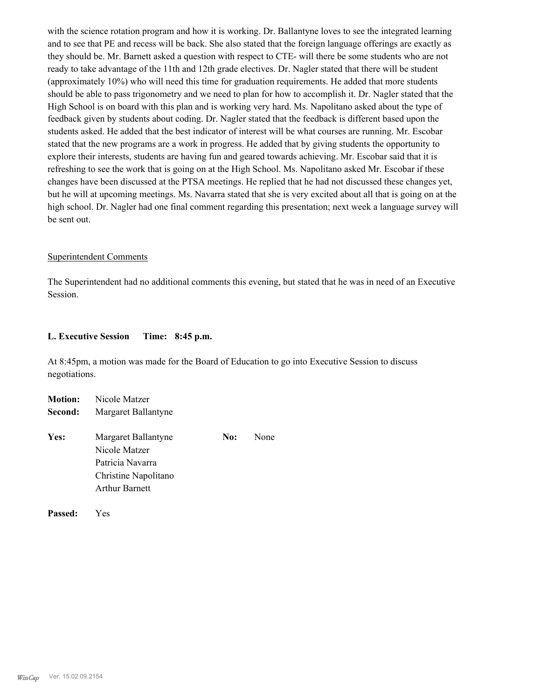with the science rotation program and how it is working. Dr. Ballantyne loves to see the integrated learning and to see that PE and recess will be back. She also stated that the foreign language offerings are exactly as they should be. Mr. Barnett asked a question with respect to CTE- will there be some students who are not ready to take advantage of the 11th and 12th grade electives. Dr. Nagler stated that there will be student (approximately 10%) who will need this time for graduation requirements. He added that more students should be able to pass trigonometry and we need to plan for how to accomplish it. Dr. Nagler stated that the High School is on board with this plan and is working very hard. Ms. Napolitano asked about the type of feedback given by students about coding. Dr. Nagler stated that the feedback is different based upon the students asked. He added that the best indicator of interest will be what courses are running. Mr. Escobar stated that the new programs are a work in progress. He added that by giving students the opportunity to explore their interests, students are having fun and geared towards achieving. Mr. Escobar said that it is refreshing to see the work that is going on at the High School. Ms. Napolitano asked Mr. Escobar if these changes have been discussed at the PTSA meetings. He replied that he had not discussed these changes yet, but he will at upcoming meetings. Ms. Navarra stated that she is very excited about all that is going on at the high school. Dr. Nagler had one final comment regarding this presentation; next week a language survey will be sent out.

#### Superintendent Comments

The Superintendent had no additional comments this evening, but stated that he was in need of an Executive Session.

#### **L. Executive Session Time: 8:45 p.m.**

At 8:45pm, a motion was made for the Board of Education to go into Executive Session to discuss negotiations.

| <b>Motion:</b> | Nicole Matzer                                                                                             |     |      |
|----------------|-----------------------------------------------------------------------------------------------------------|-----|------|
| Second:        | Margaret Ballantyne                                                                                       |     |      |
| Yes:           | Margaret Ballantyne<br>Nicole Matzer<br>Patricia Navarra<br>Christine Napolitano<br><b>Arthur Barnett</b> | No: | None |

**Passed:** Yes